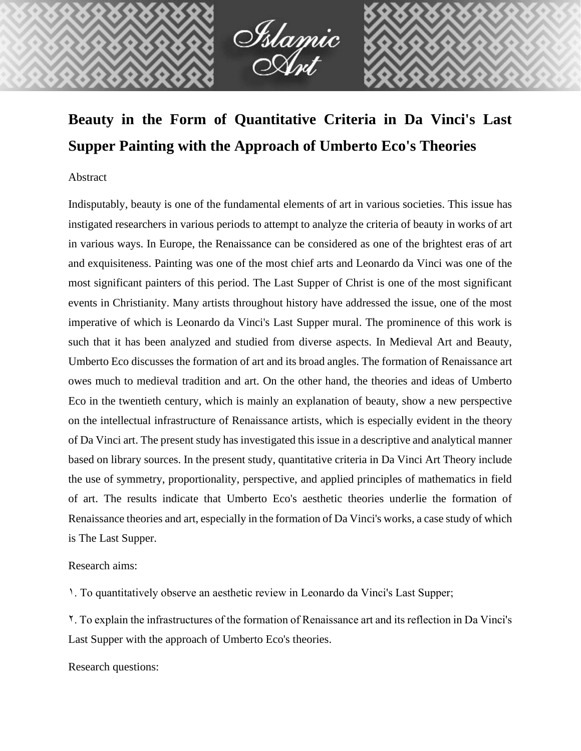

# **Beauty in the Form of Quantitative Criteria in Da Vinci's Last Supper Painting with the Approach of Umberto Eco's Theories**

### Abstract

Indisputably, beauty is one of the fundamental elements of art in various societies. This issue has instigated researchers in various periods to attempt to analyze the criteria of beauty in works of art in various ways. In Europe, the Renaissance can be considered as one of the brightest eras of art and exquisiteness. Painting was one of the most chief arts and Leonardo da Vinci was one of the most significant painters of this period. The Last Supper of Christ is one of the most significant events in Christianity. Many artists throughout history have addressed the issue, one of the most imperative of which is Leonardo da Vinci's Last Supper mural. The prominence of this work is such that it has been analyzed and studied from diverse aspects. In Medieval Art and Beauty, Umberto Eco discusses the formation of art and its broad angles. The formation of Renaissance art owes much to medieval tradition and art. On the other hand, the theories and ideas of Umberto Eco in the twentieth century, which is mainly an explanation of beauty, show a new perspective on the intellectual infrastructure of Renaissance artists, which is especially evident in the theory of Da Vinci art. The present study has investigated this issue in a descriptive and analytical manner based on library sources. In the present study, quantitative criteria in Da Vinci Art Theory include the use of symmetry, proportionality, perspective, and applied principles of mathematics in field of art. The results indicate that Umberto Eco's aesthetic theories underlie the formation of Renaissance theories and art, especially in the formation of Da Vinci's works, a case study of which is The Last Supper.

## Research aims:

1. To quantitatively observe an aesthetic review in Leonardo da Vinci's Last Supper;

2. To explain the infrastructures of the formation of Renaissance art and its reflection in Da Vinci's Last Supper with the approach of Umberto Eco's theories.

Research questions: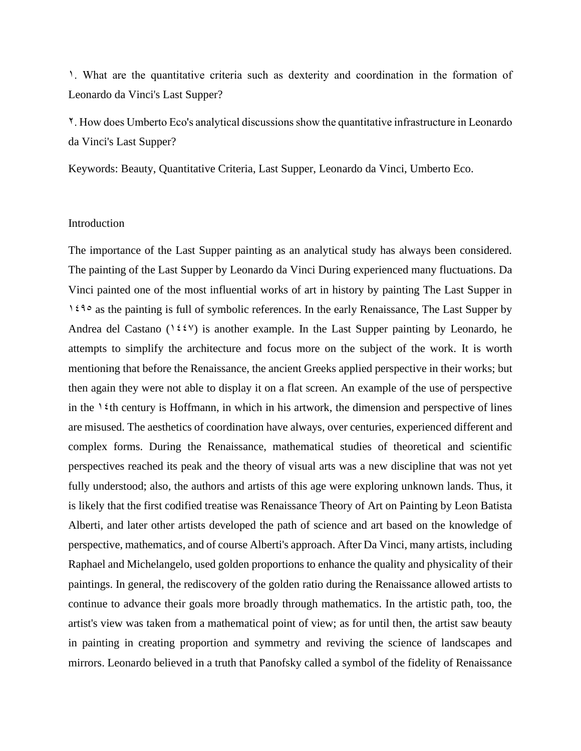1. What are the quantitative criteria such as dexterity and coordination in the formation of Leonardo da Vinci's Last Supper?

2. How does Umberto Eco's analytical discussions show the quantitative infrastructure in Leonardo da Vinci's Last Supper?

Keywords: Beauty, Quantitative Criteria, Last Supper, Leonardo da Vinci, Umberto Eco.

#### Introduction

The importance of the Last Supper painting as an analytical study has always been considered. The painting of the Last Supper by Leonardo da Vinci During experienced many fluctuations. Da Vinci painted one of the most influential works of art in history by painting The Last Supper in 1490 as the painting is full of symbolic references. In the early Renaissance, The Last Supper by Andrea del Castano (1447) is another example. In the Last Supper painting by Leonardo, he attempts to simplify the architecture and focus more on the subject of the work. It is worth mentioning that before the Renaissance, the ancient Greeks applied perspective in their works; but then again they were not able to display it on a flat screen. An example of the use of perspective in the  $\ell$ th century is Hoffmann, in which in his artwork, the dimension and perspective of lines are misused. The aesthetics of coordination have always, over centuries, experienced different and complex forms. During the Renaissance, mathematical studies of theoretical and scientific perspectives reached its peak and the theory of visual arts was a new discipline that was not yet fully understood; also, the authors and artists of this age were exploring unknown lands. Thus, it is likely that the first codified treatise was Renaissance Theory of Art on Painting by Leon Batista Alberti, and later other artists developed the path of science and art based on the knowledge of perspective, mathematics, and of course Alberti's approach. After Da Vinci, many artists, including Raphael and Michelangelo, used golden proportions to enhance the quality and physicality of their paintings. In general, the rediscovery of the golden ratio during the Renaissance allowed artists to continue to advance their goals more broadly through mathematics. In the artistic path, too, the artist's view was taken from a mathematical point of view; as for until then, the artist saw beauty in painting in creating proportion and symmetry and reviving the science of landscapes and mirrors. Leonardo believed in a truth that Panofsky called a symbol of the fidelity of Renaissance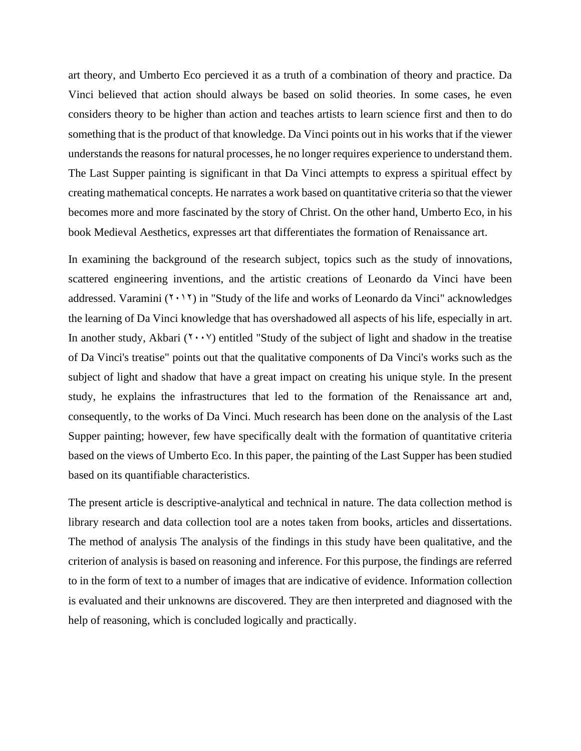art theory, and Umberto Eco percieved it as a truth of a combination of theory and practice. Da Vinci believed that action should always be based on solid theories. In some cases, he even considers theory to be higher than action and teaches artists to learn science first and then to do something that is the product of that knowledge. Da Vinci points out in his works that if the viewer understands the reasons for natural processes, he no longer requires experience to understand them. The Last Supper painting is significant in that Da Vinci attempts to express a spiritual effect by creating mathematical concepts. He narrates a work based on quantitative criteria so that the viewer becomes more and more fascinated by the story of Christ. On the other hand, Umberto Eco, in his book Medieval Aesthetics, expresses art that differentiates the formation of Renaissance art.

In examining the background of the research subject, topics such as the study of innovations, scattered engineering inventions, and the artistic creations of Leonardo da Vinci have been addressed. Varamini  $(Y \cdot Y)$  in "Study of the life and works of Leonardo da Vinci" acknowledges the learning of Da Vinci knowledge that has overshadowed all aspects of his life, especially in art. In another study, Akbari  $(Y \cdot Y)$  entitled "Study of the subject of light and shadow in the treatise of Da Vinci's treatise" points out that the qualitative components of Da Vinci's works such as the subject of light and shadow that have a great impact on creating his unique style. In the present study, he explains the infrastructures that led to the formation of the Renaissance art and, consequently, to the works of Da Vinci. Much research has been done on the analysis of the Last Supper painting; however, few have specifically dealt with the formation of quantitative criteria based on the views of Umberto Eco. In this paper, the painting of the Last Supper has been studied based on its quantifiable characteristics.

The present article is descriptive-analytical and technical in nature. The data collection method is library research and data collection tool are a notes taken from books, articles and dissertations. The method of analysis The analysis of the findings in this study have been qualitative, and the criterion of analysis is based on reasoning and inference. For this purpose, the findings are referred to in the form of text to a number of images that are indicative of evidence. Information collection is evaluated and their unknowns are discovered. They are then interpreted and diagnosed with the help of reasoning, which is concluded logically and practically.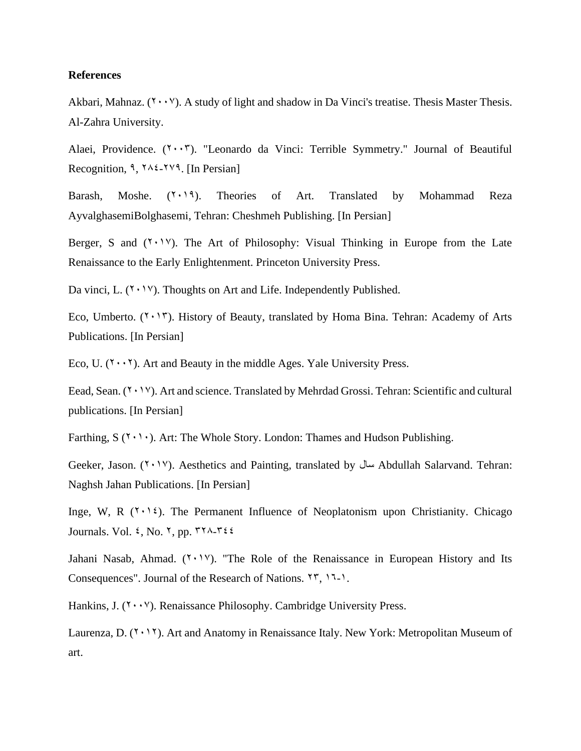#### **References**

Akbari, Mahnaz.  $(Y \cdot Y)$ . A study of light and shadow in Da Vinci's treatise. Thesis Master Thesis. Al-Zahra University.

Alaei, Providence.  $(7 \cdot 7)$ . "Leonardo da Vinci: Terrible Symmetry." Journal of Beautiful Recognition,  $9, 7 \times 27$ , [In Persian]

Barash, Moshe.  $(Y \cdot Y)$ . Theories of Art. Translated by Mohammad Reza AyvalghasemiBolghasemi, Tehran: Cheshmeh Publishing. [In Persian]

Berger, S and  $(Y \cdot Y)$ . The Art of Philosophy: Visual Thinking in Europe from the Late Renaissance to the Early Enlightenment. Princeton University Press.

Da vinci, L.  $(Y \cdot Y)$ . Thoughts on Art and Life. Independently Published.

Eco, Umberto.  $(1 \cdot 17)$ . History of Beauty, translated by Homa Bina. Tehran: Academy of Arts Publications. [In Persian]

Eco, U.  $(Y \cdot Y)$ . Art and Beauty in the middle Ages. Yale University Press.

Eead, Sean. (Y · 1V). Art and science. Translated by Mehrdad Grossi. Tehran: Scientific and cultural publications. [In Persian]

Farthing,  $S(Y \cap \cdot)$ . Art: The Whole Story. London: Thames and Hudson Publishing.

Geeker, Jason. (2017). Aesthetics and Painting, translated by سال Abdullah Salarvand. Tehran: Naghsh Jahan Publications. [In Persian]

Inge, W, R  $(\gamma, \gamma)$ . The Permanent Influence of Neoplatonism upon Christianity. Chicago Journals. Vol.  $\xi$ , No. 7, pp.  $\Upsilon \Upsilon \wedge \Upsilon \xi$ 

Jahani Nasab, Ahmad.  $(Y \cdot Y)$ . "The Role of the Renaissance in European History and Its Consequences". Journal of the Research of Nations.  $\{1, 1, 1, 1\}$ .

Hankins, J.  $(Y \cdot Y)$ . Renaissance Philosophy. Cambridge University Press.

Laurenza, D.  $(Y \cdot Y)$ . Art and Anatomy in Renaissance Italy. New York: Metropolitan Museum of art.